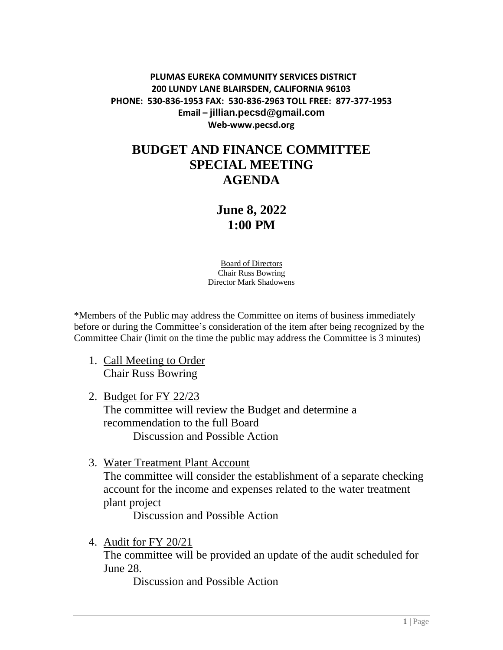## **PLUMAS EUREKA COMMUNITY SERVICES DISTRICT 200 LUNDY LANE BLAIRSDEN, CALIFORNIA 96103 PHONE: 530-836-1953 FAX: 530-836-2963 TOLL FREE: 877-377-1953 Email – jillian.pecsd@gmail.com Web-www.pecsd.org**

## **BUDGET AND FINANCE COMMITTEE SPECIAL MEETING AGENDA**

## **June 8, 2022 1:00 PM**

Board of Directors Chair Russ Bowring Director Mark Shadowens

\*Members of the Public may address the Committee on items of business immediately before or during the Committee's consideration of the item after being recognized by the Committee Chair (limit on the time the public may address the Committee is 3 minutes)

- 1. Call Meeting to Order Chair Russ Bowring
- 2. Budget for FY 22/23 The committee will review the Budget and determine a recommendation to the full Board Discussion and Possible Action
- 3. Water Treatment Plant Account The committee will consider the establishment of a separate checking account for the income and expenses related to the water treatment plant project

Discussion and Possible Action

4. Audit for FY 20/21

The committee will be provided an update of the audit scheduled for June 28.

Discussion and Possible Action